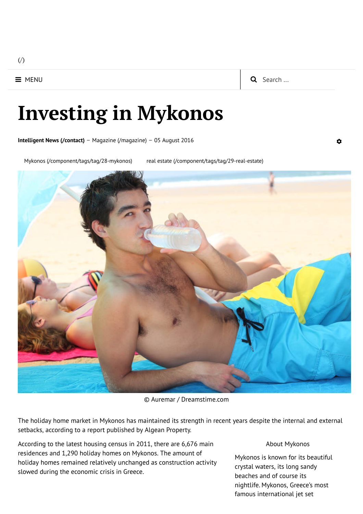$($ 

# Investing in Mykonos

**[Intelligent](http://intelligent-news.com/contact) News (/contact)** – Magazine [\(/magazine\)](http://intelligent-news.com/magazine) – 05 August 2016

Mykonos [\(/component/tags/tag/28-mykonos\)](http://intelligent-news.com/component/tags/tag/28-mykonos) real estate [\(/component/tags/tag/29-real-estate\)](http://intelligent-news.com/component/tags/tag/29-real-estate)



© Auremar / Dreamstime.com

The holiday home market in Mykonos has maintained its strength in recent years despite the internal and external setbacks, according to a report published by Algean Property.

According to the latest housing census in 2011, there are 6,676 main residences and 1,290 holiday homes on Mykonos. The amount of holiday homes remained relatively unchanged as construction activity slowed during the economic crisis in Greece.

#### About Mykonos

Mykonos is known for its beautiful crystal waters, its long sandy beaches and of course its nightlife. Mykonos, Greece's most famous international jet set

#### $\mathbf{\hat{a}}$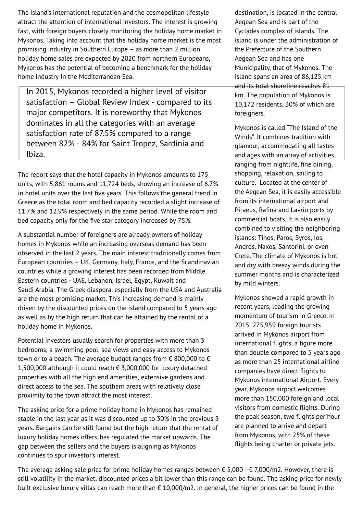The island's international reputation and the cosmopolitan lifestyle attract the attention of international investors. The interest is growing fast, with foreign buyers closely monitoring the holiday home market in Mykonos. Taking into account that the holiday home market is the most promising industry in Southern Europe – as more than 2 million holiday home sales are expected by 2020 from northern Europeans, Mykonos has the potential of becoming a benchmark for the holiday home industry In the Mediterranean Sea.

In 2015, Mykonos recorded a higher level of visitor satisfaction – Global Review Index - compared to its major competitors. It is noreworthy that Mykonos dominates in all the categories with an average satisfaction rate of 87.5% compared to a range between 82% - 84% for Saint Tropez, Sardinia and Ibiza.

The report says that the hotel capacity in Mykonos amounts to 175 units, with 5,861 rooms and 11,724 beds, showing an increase of 6.7% in hotel units over the last five years. This follows the general trend in Greece as the total room and bed capacity recorded a slight increase of 11.7% and 12.9% respectively in the same period. While the room and bed capacity only for the five star category increased by 75%.

A substantial number of foreigners are already owners of holiday homes in Mykonos while an increasing overseas demand has been observed in the last 2 years. The main interest traditionally comes from European countries – UK, Germany, Italy, France, and the Scandinavian countries while a growing interest has been recorded from Middle Eastern countries - UAE, Lebanon, Israel, Egypt, Kuwait and Saudi Arabia. The Greek diaspora, especially from the USA and Australia are the most promising market. This increasing demand is mainly driven by the discounted prices on the island compared to 5 years ago as well as by the high return that can be attained by the rental of a holiday home in Mykonos.

Potential investors usually search for properties with more than 3 bedrooms, a swimming pool, sea views and easy access to Mykonos town or to a beach. The average budget ranges from  $\epsilon$  800,000 to  $\epsilon$ 1,500,000 although it could reach € 3,000,000 for luxury detached properties with all the high end amenities, extensive gardens and direct access to the sea. The southern areas with relatively close proximity to the town attract the most interest.

The asking price for a prime holiday home in Mykonos has remained stable in the last year as it was discounted up to 30% in the previous 5 years. Bargains can be still found but the high return that the rental of luxury holiday homes offers, has regulated the market upwards. The gap between the sellers and the buyers is aligning as Mykonos continues to spur investor's interest.

destination, is located in the central Aegean Sea and is part of the Cyclades complex of islands. The island is under the administration of the Prefecture of the Southern Aegean Sea and has one Municipality, that of Mykonos. The island spans an area of 86,125 km and its total shoreline reaches 81 km. The population of Mykonos is 10,172 residents, 30% of which are foreigners.

Mykonos is called "The Island of the Winds". It combines tradition with glamour, accommodating all tastes and ages with an array of activities, ranging from nightlife, fine dining, shopping, relaxation, sailing to culture. Located at the center of the Aegean Sea, it is easily accessible from its international airport and Piraeus, Rafina and Lavrio ports by commercial boats. It is also easily combined to visiting the neighboring islands: Tinos, Paros, Syros, Ios, Andros, Naxos, Santorini, or even Crete. The climate of Mykonos is hot and dry with breezy winds during the summer months and is characterized by mild winters.

Mykonos showed a rapid growth in recent years, leading the growing momentum of tourism in Greece. In 2015, 275,959 foreign tourists arrived in Mykonos airport from international flights, a figure more than double compared to 5 years ago as more than 25 international airline companies have direct flights to Mykonos international Airport. Every year, Mykonos airport welcomes more than 150,000 foreign and local visitors from domestic flights. During the peak season, two flights per hour are planned to arrive and depart from Mykonos, with 25% of these flights being charter or private jets.

The average asking sale price for prime holiday homes ranges between  $\epsilon$  5,000 -  $\epsilon$  7,000/m2. However, there is still volatility in the market, discounted prices a bit lower than this range can be found. The asking price for newly built exclusive luxury villas can reach more than € 10,000/m2. In general, the higher prices can be found in the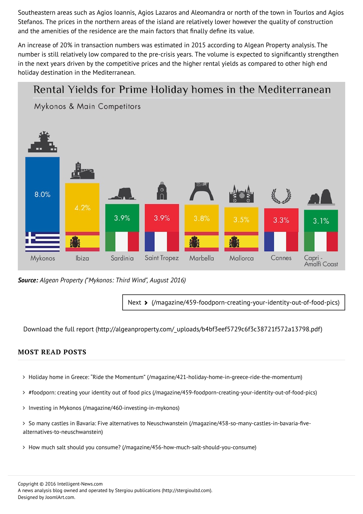Southeastern areas such as Agios Ioannis, Agios Lazaros and Aleomandra or north of the town in Tourlos and Agios Stefanos. The prices in the northern areas of the island are relatively lower however the quality of construction and the amenities of the residence are the main factors that finally define its value.

An increase of 20% in transaction numbers was estimated in 2015 according to Algean Property analysis. The number is still relatively low compared to the pre-crisis years. The volume is expected to significantly strengthen in the next years driven by the competitive prices and the higher rental yields as compared to other high end holiday destination in the Mediterranean.

## Rental Yields for Prime Holiday homes in the Mediterranean

Mykonos & Main Competitors



*Source: Algean Property ("Mykonos: Third Wind", August 2016)*

Next > [\(/magazine/459-foodporn-creating-your-identity-out-of-food-pics\)](http://intelligent-news.com/magazine/459-foodporn-creating-your-identity-out-of-food-pics)

Download the full report [\(http://algeanproperty.com/\\_uploads/b4bf3eef5729c6f3c38721f572a13798.pdf\)](http://algeanproperty.com/_uploads/b4bf3eef5729c6f3c38721f572a13798.pdf)

### MOST READ POSTS

- > Holiday home in Greece: "Ride the Momentum" [\(/magazine/421-holiday-home-in-greece-ride-the-momentum\)](http://intelligent-news.com/magazine/421-holiday-home-in-greece-ride-the-momentum)
- #foodporn: creating your identity out of food pics [\(/magazine/459-foodporn-creating-your-identity-out-of-food-pics\)](http://intelligent-news.com/magazine/459-foodporn-creating-your-identity-out-of-food-pics)
- > Investing in Mykonos [\(/magazine/460-investing-in-mykonos\)](http://intelligent-news.com/magazine/460-investing-in-mykonos)
- > So many castles in Bavaria: Five alternatives to Neuschwanstein (/magazine/458-so-many-castles-in-bavaria-fivealternatives-to-neuschwanstein)
- How much salt should you consume? [\(/magazine/456-how-much-salt-should-you-consume\)](http://intelligent-news.com/magazine/456-how-much-salt-should-you-consume)